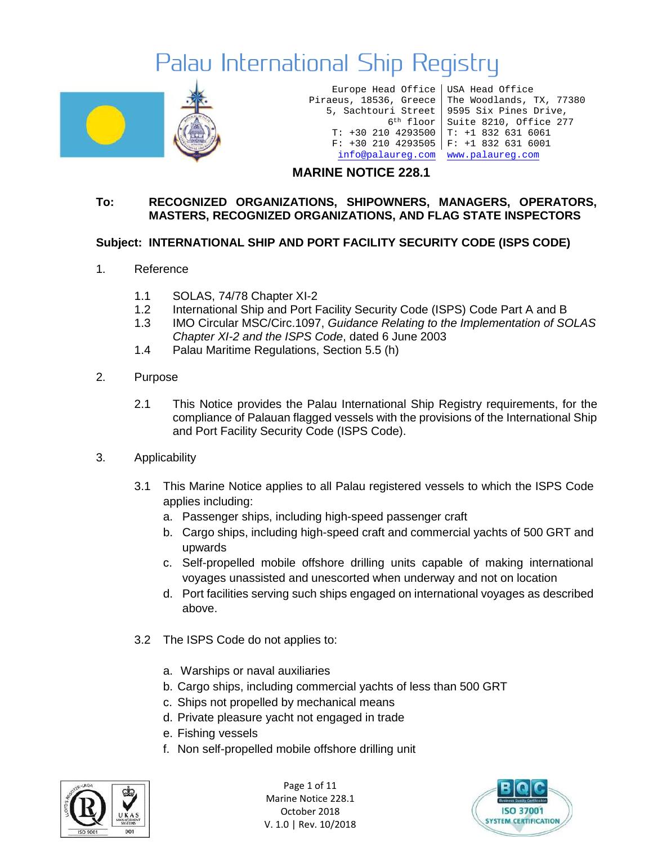

Europe Head Office USA Head Office Piraeus, 18536, Greece 5, Sachtouri Street T: +30 210 4293500 T: +1 832 631 6061 F: +30 210 4293505 F: +1 832 631 6001 [info@palaureg.com](mailto:info@palaureg.com) [www.palaureg.com](http://www.palaureg.com/)

6th floor Suite 8210, Office 277 The Woodlands, TX, 77380 9595 Six Pines Drive,

### **MARINE NOTICE 228.1**

#### **To: RECOGNIZED ORGANIZATIONS, SHIPOWNERS, MANAGERS, OPERATORS, MASTERS, RECOGNIZED ORGANIZATIONS, AND FLAG STATE INSPECTORS**

### **Subject: INTERNATIONAL SHIP AND PORT FACILITY SECURITY CODE (ISPS CODE)**

- 1. Reference
	- 1.1 SOLAS, 74/78 Chapter XI-2
	- 1.2 International Ship and Port Facility Security Code (ISPS) Code Part A and B
	- 1.3 IMO Circular MSC/Circ.1097, *Guidance Relating to the Implementation of SOLAS Chapter XI-2 and the ISPS Code*, dated 6 June 2003
	- 1.4 Palau Maritime Regulations, Section 5.5 (h)
- 2. Purpose
	- 2.1 This Notice provides the Palau International Ship Registry requirements, for the compliance of Palauan flagged vessels with the provisions of the International Ship and Port Facility Security Code (ISPS Code).
- 3. Applicability
	- 3.1 This Marine Notice applies to all Palau registered vessels to which the ISPS Code applies including:
		- a. Passenger ships, including high-speed passenger craft
		- b. Cargo ships, including high-speed craft and commercial yachts of 500 GRT and upwards
		- c. Self-propelled mobile offshore drilling units capable of making international voyages unassisted and unescorted when underway and not on location
		- d. Port facilities serving such ships engaged on international voyages as described above.
	- 3.2 The ISPS Code do not applies to:
		- a. Warships or naval auxiliaries
		- b. Cargo ships, including commercial yachts of less than 500 GRT
		- c. Ships not propelled by mechanical means
		- d. Private pleasure yacht not engaged in trade
		- e. Fishing vessels
		- f. Non self-propelled mobile offshore drilling unit



Page 1 of 11 Marine Notice 228.1 October 2018 V. 1.0 | Rev. 10/2018

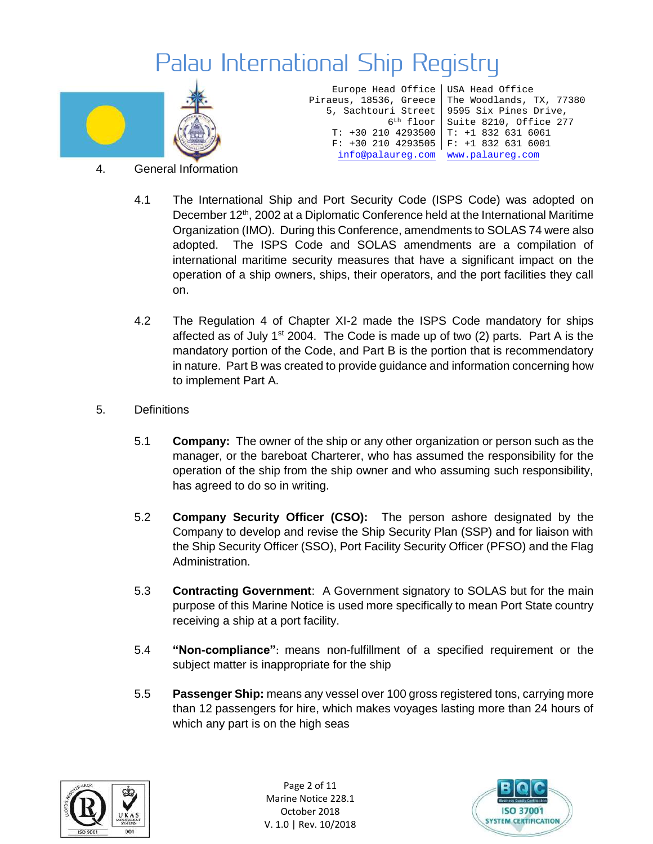

Europe Head Office Piraeus, 18536, Greece 5, Sachtouri Street 6th floor T: +30 210 4293500 F: +30 210 4293505 F: +1 832 631 6001 [info@palaureg.com](mailto:info@palaureg.com) [www.palaureg.com](http://www.palaureg.com/)

USA Head Office The Woodlands, TX, 77380 9595 Six Pines Drive, Suite 8210, Office 277 T: +1 832 631 6061

- 4. General Information
	- 4.1 The International Ship and Port Security Code (ISPS Code) was adopted on December 12<sup>th</sup>, 2002 at a Diplomatic Conference held at the International Maritime Organization (IMO). During this Conference, amendments to SOLAS 74 were also adopted. The ISPS Code and SOLAS amendments are a compilation of international maritime security measures that have a significant impact on the operation of a ship owners, ships, their operators, and the port facilities they call on.
	- 4.2 The Regulation 4 of Chapter XI-2 made the ISPS Code mandatory for ships affected as of July  $1<sup>st</sup>$  2004. The Code is made up of two (2) parts. Part A is the mandatory portion of the Code, and Part B is the portion that is recommendatory in nature. Part B was created to provide guidance and information concerning how to implement Part A.
- 5. Definitions
	- 5.1 **Company:** The owner of the ship or any other organization or person such as the manager, or the bareboat Charterer, who has assumed the responsibility for the operation of the ship from the ship owner and who assuming such responsibility, has agreed to do so in writing.
	- 5.2 **Company Security Officer (CSO):** The person ashore designated by the Company to develop and revise the Ship Security Plan (SSP) and for liaison with the Ship Security Officer (SSO), Port Facility Security Officer (PFSO) and the Flag Administration.
	- 5.3 **Contracting Government**: A Government signatory to SOLAS but for the main purpose of this Marine Notice is used more specifically to mean Port State country receiving a ship at a port facility.
	- 5.4 **"Non-compliance"**: means non-fulfillment of a specified requirement or the subject matter is inappropriate for the ship
	- 5.5 **Passenger Ship:** means any vessel over 100 gross registered tons, carrying more than 12 passengers for hire, which makes voyages lasting more than 24 hours of which any part is on the high seas



Page 2 of 11 Marine Notice 228.1 October 2018 V. 1.0 | Rev. 10/2018

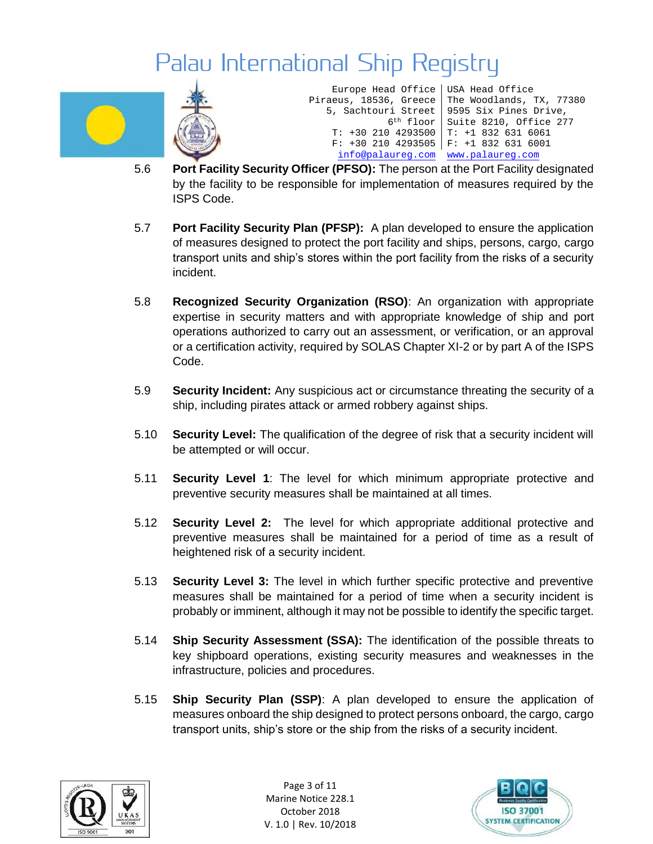

Europe Head Office Piraeus, 18536, Greece 5, Sachtouri Street 6th floor Suite 8210, Office 277 T: +30 210 4293500 T: +1 832 631 6061 F: +30 210 4293505 F: +1 832 631 6001 USA Head Office The Woodlands, TX, 77380 9595 Six Pines Drive, [info@palaureg.com](mailto:info@palaureg.com) [www.palaureg.com](http://www.palaureg.com/)

- 5.6 **Port Facility Security Officer (PFSO):** The person at the Port Facility designated by the facility to be responsible for implementation of measures required by the ISPS Code.
- 5.7 **Port Facility Security Plan (PFSP):** A plan developed to ensure the application of measures designed to protect the port facility and ships, persons, cargo, cargo transport units and ship's stores within the port facility from the risks of a security incident.
- 5.8 **Recognized Security Organization (RSO)**: An organization with appropriate expertise in security matters and with appropriate knowledge of ship and port operations authorized to carry out an assessment, or verification, or an approval or a certification activity, required by SOLAS Chapter XI-2 or by part A of the ISPS Code.
- 5.9 **Security Incident:** Any suspicious act or circumstance threating the security of a ship, including pirates attack or armed robbery against ships.
- 5.10 **Security Level:** The qualification of the degree of risk that a security incident will be attempted or will occur.
- 5.11 **Security Level 1**: The level for which minimum appropriate protective and preventive security measures shall be maintained at all times.
- 5.12 **Security Level 2:** The level for which appropriate additional protective and preventive measures shall be maintained for a period of time as a result of heightened risk of a security incident.
- 5.13 **Security Level 3:** The level in which further specific protective and preventive measures shall be maintained for a period of time when a security incident is probably or imminent, although it may not be possible to identify the specific target.
- 5.14 **Ship Security Assessment (SSA):** The identification of the possible threats to key shipboard operations, existing security measures and weaknesses in the infrastructure, policies and procedures.
- 5.15 **Ship Security Plan (SSP)**: A plan developed to ensure the application of measures onboard the ship designed to protect persons onboard, the cargo, cargo transport units, ship's store or the ship from the risks of a security incident.



Page 3 of 11 Marine Notice 228.1 October 2018 V. 1.0 | Rev. 10/2018

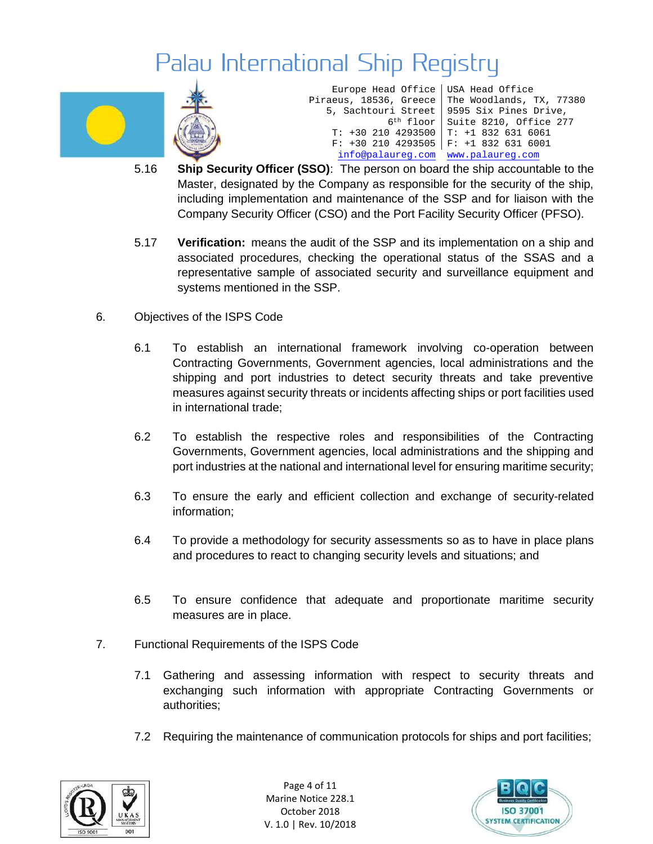



| Europe Head Office   USA Head Office |                                                   |
|--------------------------------------|---------------------------------------------------|
|                                      | Piraeus, 18536, Greece   The Woodlands, TX, 77380 |
|                                      | 5, Sachtouri Street   9595 Six Pines Drive,       |
|                                      | 6 <sup>th</sup> floor Suite 8210, Office 277      |
| $T: +302104293500$ $T: +18326316061$ |                                                   |
| $F: +302104293505$ $F: +18326316001$ |                                                   |
| info@palaureq.com www.palaureq.com   |                                                   |
|                                      |                                                   |

- 5.16 **Ship Security Officer (SSO)**: The person on board the ship accountable to the Master, designated by the Company as responsible for the security of the ship, including implementation and maintenance of the SSP and for liaison with the Company Security Officer (CSO) and the Port Facility Security Officer (PFSO).
- 5.17 **Verification:** means the audit of the SSP and its implementation on a ship and associated procedures, checking the operational status of the SSAS and a representative sample of associated security and surveillance equipment and systems mentioned in the SSP.
- 6. Objectives of the ISPS Code
	- 6.1 To establish an international framework involving co-operation between Contracting Governments, Government agencies, local administrations and the shipping and port industries to detect security threats and take preventive measures against security threats or incidents affecting ships or port facilities used in international trade;
	- 6.2 To establish the respective roles and responsibilities of the Contracting Governments, Government agencies, local administrations and the shipping and port industries at the national and international level for ensuring maritime security;
	- 6.3 To ensure the early and efficient collection and exchange of security-related information;
	- 6.4 To provide a methodology for security assessments so as to have in place plans and procedures to react to changing security levels and situations; and
	- 6.5 To ensure confidence that adequate and proportionate maritime security measures are in place.
- 7. Functional Requirements of the ISPS Code
	- 7.1 Gathering and assessing information with respect to security threats and exchanging such information with appropriate Contracting Governments or authorities;
	- 7.2 Requiring the maintenance of communication protocols for ships and port facilities;



Page 4 of 11 Marine Notice 228.1 October 2018 V. 1.0 | Rev. 10/2018

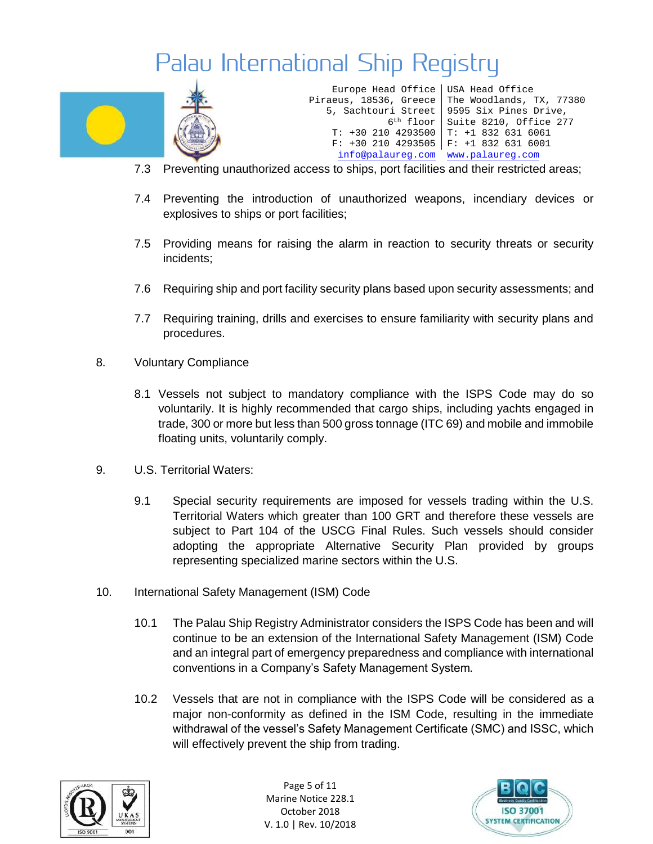

Europe Head Office USA Head Office Piraeus, 18536, Greece 5, Sachtouri Street 6th floor Suite 8210, Office 277 T: +30 210 4293500 T: +1 832 631 6061 F: +30 210 4293505 F: +1 832 631 6001 The Woodlands, TX, 77380 9595 Six Pines Drive, [info@palaureg.com](mailto:info@palaureg.com) [www.palaureg.com](http://www.palaureg.com/)

- 7.3 Preventing unauthorized access to ships, port facilities and their restricted areas;
- 7.4 Preventing the introduction of unauthorized weapons, incendiary devices or explosives to ships or port facilities;
- 7.5 Providing means for raising the alarm in reaction to security threats or security incidents;
- 7.6 Requiring ship and port facility security plans based upon security assessments; and
- 7.7 Requiring training, drills and exercises to ensure familiarity with security plans and procedures.
- 8. Voluntary Compliance
	- 8.1 Vessels not subject to mandatory compliance with the ISPS Code may do so voluntarily. It is highly recommended that cargo ships, including yachts engaged in trade, 300 or more but less than 500 gross tonnage (ITC 69) and mobile and immobile floating units, voluntarily comply.
- 9. U.S. Territorial Waters:
	- 9.1 Special security requirements are imposed for vessels trading within the U.S. Territorial Waters which greater than 100 GRT and therefore these vessels are subject to Part 104 of the USCG Final Rules. Such vessels should consider adopting the appropriate Alternative Security Plan provided by groups representing specialized marine sectors within the U.S.
- 10. International Safety Management (ISM) Code
	- 10.1 The Palau Ship Registry Administrator considers the ISPS Code has been and will continue to be an extension of the International Safety Management (ISM) Code and an integral part of emergency preparedness and compliance with international conventions in a Company's Safety Management System.
	- 10.2 Vessels that are not in compliance with the ISPS Code will be considered as a major non-conformity as defined in the ISM Code, resulting in the immediate withdrawal of the vessel's Safety Management Certificate (SMC) and ISSC, which will effectively prevent the ship from trading.



Page 5 of 11 Marine Notice 228.1 October 2018 V. 1.0 | Rev. 10/2018

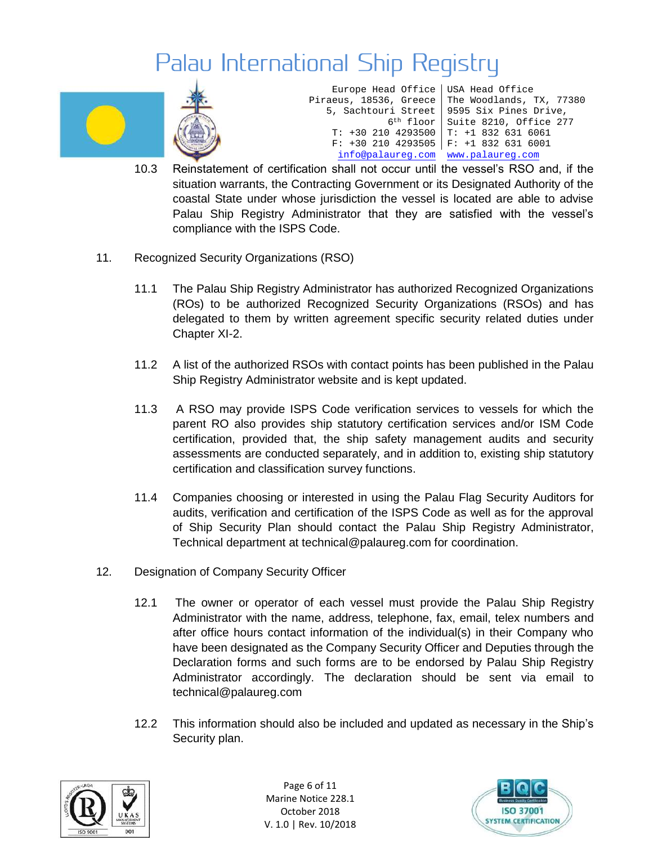

Europe Head Office Piraeus, 18536, Greece 5, Sachtouri Street 6th floor Suite 8210, Office 277 T: +30 210 4293500 T: +1 832 631 6061 F: +30 210 4293505 F: +1 832 631 6001 USA Head Office The Woodlands, TX, 77380 9595 Six Pines Drive, [info@palaureg.com](mailto:info@palaureg.com) [www.palaureg.com](http://www.palaureg.com/)

- 10.3 Reinstatement of certification shall not occur until the vessel's RSO and, if the situation warrants, the Contracting Government or its Designated Authority of the coastal State under whose jurisdiction the vessel is located are able to advise Palau Ship Registry Administrator that they are satisfied with the vessel's compliance with the ISPS Code.
- 11. Recognized Security Organizations (RSO)
	- 11.1 The Palau Ship Registry Administrator has authorized Recognized Organizations (ROs) to be authorized Recognized Security Organizations (RSOs) and has delegated to them by written agreement specific security related duties under Chapter XI-2.
	- 11.2 A list of the authorized RSOs with contact points has been published in the Palau Ship Registry Administrator website and is kept updated.
	- 11.3 A RSO may provide ISPS Code verification services to vessels for which the parent RO also provides ship statutory certification services and/or ISM Code certification, provided that, the ship safety management audits and security assessments are conducted separately, and in addition to, existing ship statutory certification and classification survey functions.
	- 11.4 Companies choosing or interested in using the Palau Flag Security Auditors for audits, verification and certification of the ISPS Code as well as for the approval of Ship Security Plan should contact the Palau Ship Registry Administrator, Technical department at technical@palaureg.com for coordination.
- 12. Designation of Company Security Officer
	- 12.1 The owner or operator of each vessel must provide the Palau Ship Registry Administrator with the name, address, telephone, fax, email, telex numbers and after office hours contact information of the individual(s) in their Company who have been designated as the Company Security Officer and Deputies through the Declaration forms and such forms are to be endorsed by Palau Ship Registry Administrator accordingly. The declaration should be sent via email to technical@palaureg.com
	- 12.2 This information should also be included and updated as necessary in the Ship's Security plan.



Page 6 of 11 Marine Notice 228.1 October 2018 V. 1.0 | Rev. 10/2018

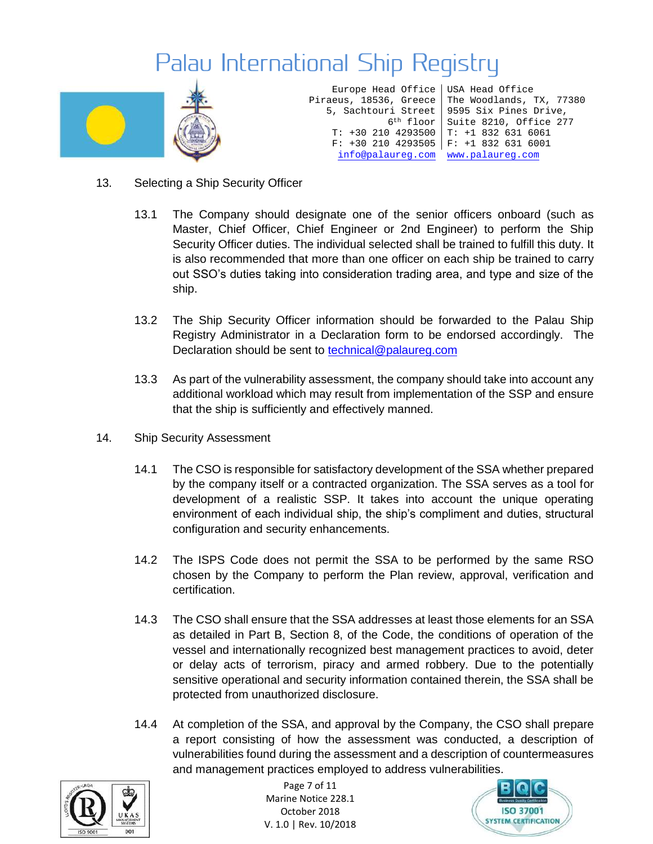

Europe Head Office Piraeus, 18536, Greece 5, Sachtouri Street T: +30 210 4293500 T: +1 832 631 6061 F: +30 210 4293505 F: +1 832 631 6001 [info@palaureg.com](mailto:info@palaureg.com) [www.palaureg.com](http://www.palaureg.com/)

6th floor Suite 8210, Office 277 USA Head Office The Woodlands, TX, 77380 9595 Six Pines Drive,

- 13. Selecting a Ship Security Officer
	- 13.1 The Company should designate one of the senior officers onboard (such as Master, Chief Officer, Chief Engineer or 2nd Engineer) to perform the Ship Security Officer duties. The individual selected shall be trained to fulfill this duty. It is also recommended that more than one officer on each ship be trained to carry out SSO's duties taking into consideration trading area, and type and size of the ship.
	- 13.2 The Ship Security Officer information should be forwarded to the Palau Ship Registry Administrator in a Declaration form to be endorsed accordingly. The Declaration should be sent to **technical@palaureg.com**
	- 13.3 As part of the vulnerability assessment, the company should take into account any additional workload which may result from implementation of the SSP and ensure that the ship is sufficiently and effectively manned.
- 14. Ship Security Assessment
	- 14.1 The CSO is responsible for satisfactory development of the SSA whether prepared by the company itself or a contracted organization. The SSA serves as a tool for development of a realistic SSP. It takes into account the unique operating environment of each individual ship, the ship's compliment and duties, structural configuration and security enhancements.
	- 14.2 The ISPS Code does not permit the SSA to be performed by the same RSO chosen by the Company to perform the Plan review, approval, verification and certification.
	- 14.3 The CSO shall ensure that the SSA addresses at least those elements for an SSA as detailed in Part B, Section 8, of the Code, the conditions of operation of the vessel and internationally recognized best management practices to avoid, deter or delay acts of terrorism, piracy and armed robbery. Due to the potentially sensitive operational and security information contained therein, the SSA shall be protected from unauthorized disclosure.
	- 14.4 At completion of the SSA, and approval by the Company, the CSO shall prepare a report consisting of how the assessment was conducted, a description of vulnerabilities found during the assessment and a description of countermeasures and management practices employed to address vulnerabilities.



Page 7 of 11 Marine Notice 228.1 October 2018 V. 1.0 | Rev. 10/2018

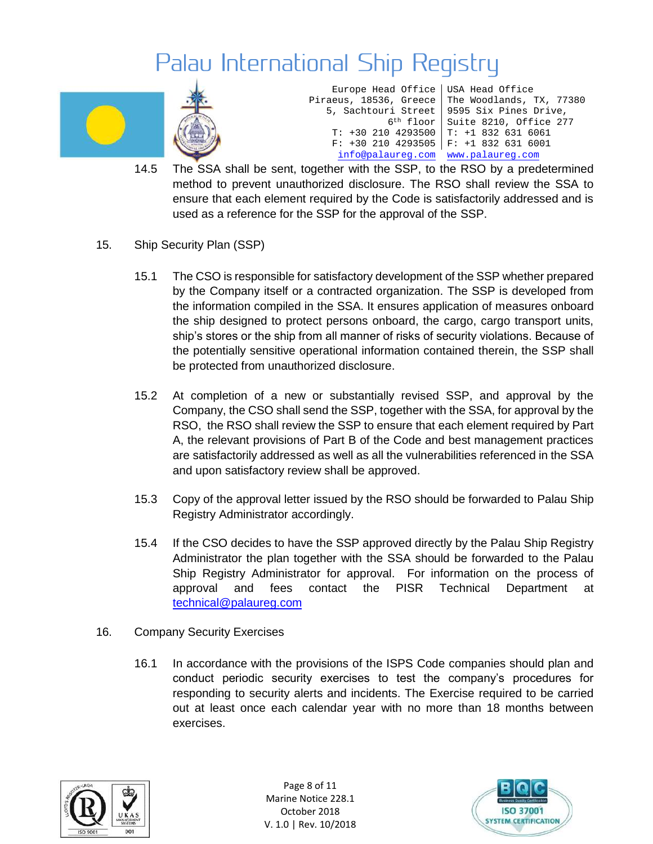

Europe Head Office Piraeus, 18536, Greece 5, Sachtouri Street 6th floor T: +30 210 4293500 F: +30 210 4293505 F: +1 832 631 6001 USA Head Office The Woodlands, TX, 77380 9595 Six Pines Drive, Suite 8210, Office 277 T: +1 832 631 6061 [info@palaureg.com](mailto:info@palaureg.com) [www.palaureg.com](http://www.palaureg.com/)

- 14.5 The SSA shall be sent, together with the SSP, to the RSO by a predetermined method to prevent unauthorized disclosure. The RSO shall review the SSA to ensure that each element required by the Code is satisfactorily addressed and is used as a reference for the SSP for the approval of the SSP.
- 15. Ship Security Plan (SSP)
	- 15.1 The CSO is responsible for satisfactory development of the SSP whether prepared by the Company itself or a contracted organization. The SSP is developed from the information compiled in the SSA. It ensures application of measures onboard the ship designed to protect persons onboard, the cargo, cargo transport units, ship's stores or the ship from all manner of risks of security violations. Because of the potentially sensitive operational information contained therein, the SSP shall be protected from unauthorized disclosure.
	- 15.2 At completion of a new or substantially revised SSP, and approval by the Company, the CSO shall send the SSP, together with the SSA, for approval by the RSO, the RSO shall review the SSP to ensure that each element required by Part A, the relevant provisions of Part B of the Code and best management practices are satisfactorily addressed as well as all the vulnerabilities referenced in the SSA and upon satisfactory review shall be approved.
	- 15.3 Copy of the approval letter issued by the RSO should be forwarded to Palau Ship Registry Administrator accordingly.
	- 15.4 If the CSO decides to have the SSP approved directly by the Palau Ship Registry Administrator the plan together with the SSA should be forwarded to the Palau Ship Registry Administrator for approval. For information on the process of approval and fees contact the PISR Technical Department at [technical@palaureg.com](mailto:technical@palaureg.com)
- 16. Company Security Exercises
	- 16.1 In accordance with the provisions of the ISPS Code companies should plan and conduct periodic security exercises to test the company's procedures for responding to security alerts and incidents. The Exercise required to be carried out at least once each calendar year with no more than 18 months between exercises.



Page 8 of 11 Marine Notice 228.1 October 2018 V. 1.0 | Rev. 10/2018

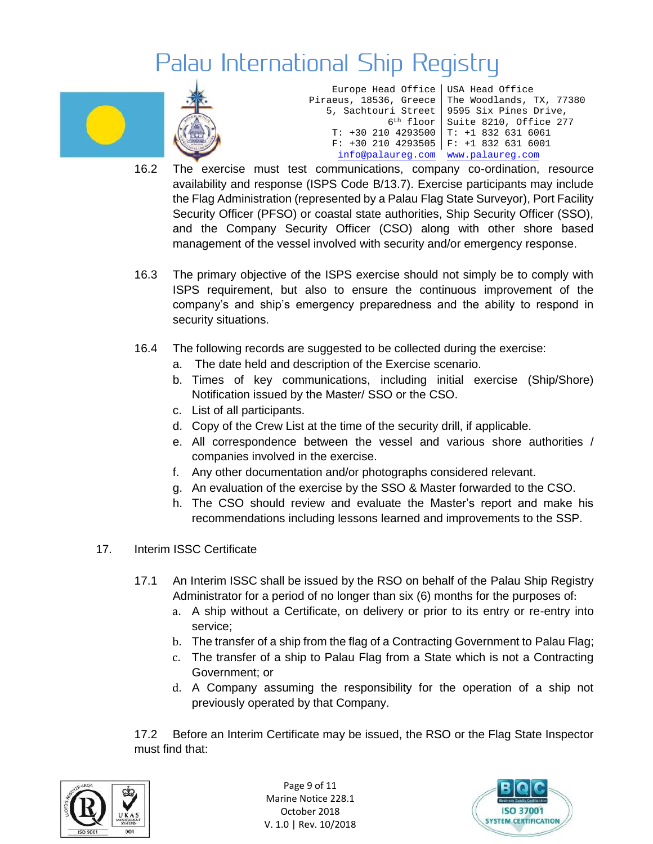



| Europe Head Office   USA Head Office |                                                   |
|--------------------------------------|---------------------------------------------------|
|                                      | Piraeus, 18536, Greece   The Woodlands, TX, 77380 |
|                                      | 5, Sachtouri Street   9595 Six Pines Drive,       |
| $6th$ floor                          | Suite 8210, Office 277                            |
|                                      | $T: +302104293500$   $T: +18326316061$            |
| $F: +30 210 4293505$                 | $F: +1 832 631 6001$                              |
| info@palaureq.com www.palaureq.com   |                                                   |

- 16.2 The exercise must test communications, company co-ordination, resource availability and response (ISPS Code B/13.7). Exercise participants may include the Flag Administration (represented by a Palau Flag State Surveyor), Port Facility Security Officer (PFSO) or coastal state authorities, Ship Security Officer (SSO), and the Company Security Officer (CSO) along with other shore based management of the vessel involved with security and/or emergency response.
- 16.3 The primary objective of the ISPS exercise should not simply be to comply with ISPS requirement, but also to ensure the continuous improvement of the company's and ship's emergency preparedness and the ability to respond in security situations.
- 16.4 The following records are suggested to be collected during the exercise:
	- a. The date held and description of the Exercise scenario.
	- b. Times of key communications, including initial exercise (Ship/Shore) Notification issued by the Master/ SSO or the CSO.
	- c. List of all participants.
	- d. Copy of the Crew List at the time of the security drill, if applicable.
	- e. All correspondence between the vessel and various shore authorities / companies involved in the exercise.
	- f. Any other documentation and/or photographs considered relevant.
	- g. An evaluation of the exercise by the SSO & Master forwarded to the CSO.
	- h. The CSO should review and evaluate the Master's report and make his recommendations including lessons learned and improvements to the SSP.
- 17. Interim ISSC Certificate
	- 17.1 An Interim ISSC shall be issued by the RSO on behalf of the Palau Ship Registry Administrator for a period of no longer than six (6) months for the purposes of:
		- a. A ship without a Certificate, on delivery or prior to its entry or re-entry into service;
		- b. The transfer of a ship from the flag of a Contracting Government to Palau Flag;
		- c. The transfer of a ship to Palau Flag from a State which is not a Contracting Government; or
		- d. A Company assuming the responsibility for the operation of a ship not previously operated by that Company.

17.2 Before an Interim Certificate may be issued, the RSO or the Flag State Inspector must find that:



Page 9 of 11 Marine Notice 228.1 October 2018 V. 1.0 | Rev. 10/2018

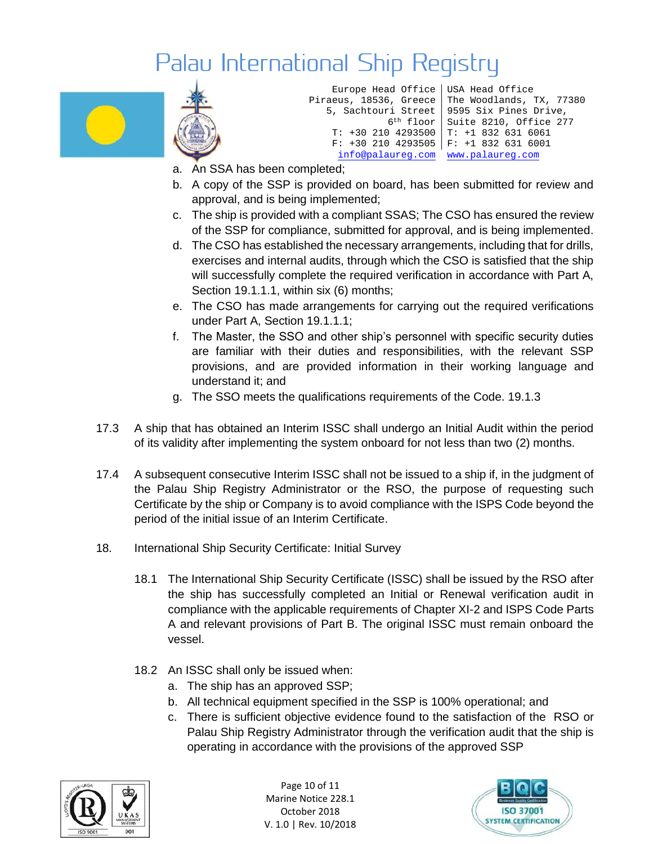

```
Europe Head Office
Piraeus, 18536, Greece
   5, Sachtouri Street
            6th floor 
   T: +30 210 4293500 
     info@palaureg.com www.palaureg.com
```
F: +30 210 4293505 F: +1 832 631 6001 USA Head Office The Woodlands, TX, 77380 9595 Six Pines Drive, Suite 8210, Office 277 T: +1 832 631 6061

- a. An SSA has been completed;
- b. A copy of the SSP is provided on board, has been submitted for review and approval, and is being implemented;
- c. The ship is provided with a compliant SSAS; The CSO has ensured the review of the SSP for compliance, submitted for approval, and is being implemented.
- d. The CSO has established the necessary arrangements, including that for drills, exercises and internal audits, through which the CSO is satisfied that the ship will successfully complete the required verification in accordance with Part A, Section 19.1.1.1, within six (6) months;
- e. The CSO has made arrangements for carrying out the required verifications under Part A, Section 19.1.1.1;
- f. The Master, the SSO and other ship's personnel with specific security duties are familiar with their duties and responsibilities, with the relevant SSP provisions, and are provided information in their working language and understand it; and
- g. The SSO meets the qualifications requirements of the Code. 19.1.3
- 17.3 A ship that has obtained an Interim ISSC shall undergo an Initial Audit within the period of its validity after implementing the system onboard for not less than two (2) months.
- 17.4 A subsequent consecutive Interim ISSC shall not be issued to a ship if, in the judgment of the Palau Ship Registry Administrator or the RSO, the purpose of requesting such Certificate by the ship or Company is to avoid compliance with the ISPS Code beyond the period of the initial issue of an Interim Certificate.
- 18. International Ship Security Certificate: Initial Survey
	- 18.1 The International Ship Security Certificate (ISSC) shall be issued by the RSO after the ship has successfully completed an Initial or Renewal verification audit in compliance with the applicable requirements of Chapter XI-2 and ISPS Code Parts A and relevant provisions of Part B. The original ISSC must remain onboard the vessel.
	- 18.2 An ISSC shall only be issued when:
		- a. The ship has an approved SSP;
		- b. All technical equipment specified in the SSP is 100% operational; and
		- c. There is sufficient objective evidence found to the satisfaction of the RSO or Palau Ship Registry Administrator through the verification audit that the ship is operating in accordance with the provisions of the approved SSP



Page 10 of 11 Marine Notice 228.1 October 2018 V. 1.0 | Rev. 10/2018